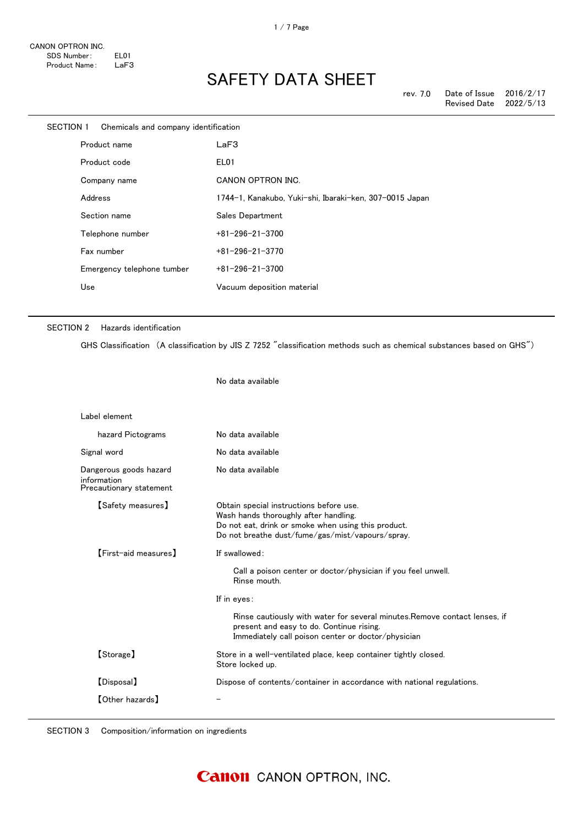| SECTION 1 |         | Chemicals and company identification |                                                         |
|-----------|---------|--------------------------------------|---------------------------------------------------------|
|           |         | Product name                         | LaF3                                                    |
|           |         | Product code                         | EL01                                                    |
|           |         | Company name                         | CANON OPTRON INC.                                       |
|           | Address |                                      | 1744-1, Kanakubo, Yuki-shi, Ibaraki-ken, 307-0015 Japan |
|           |         | Section name                         | Sales Department                                        |
|           |         | Telephone number                     | $+81 - 296 - 21 - 3700$                                 |
|           |         | Fax number                           | $+81 - 296 - 21 - 3770$                                 |
|           |         | Emergency telephone tumber           | $+81 - 296 - 21 - 3700$                                 |
|           | Use     |                                      | Vacuum deposition material                              |
|           |         |                                      |                                                         |

#### SECTION 2 Hazards identification

GHS Classification (A classification by JIS Z 7252 "classification methods such as chemical substances based on GHS")

No data available

| Label element                                                    |                                                                                                                                                                                             |
|------------------------------------------------------------------|---------------------------------------------------------------------------------------------------------------------------------------------------------------------------------------------|
| hazard Pictograms                                                | No data available                                                                                                                                                                           |
| Signal word                                                      | No data available                                                                                                                                                                           |
| Dangerous goods hazard<br>information<br>Precautionary statement | No data available                                                                                                                                                                           |
| 【Safety measures】                                                | Obtain special instructions before use.<br>Wash hands thoroughly after handling.<br>Do not eat, drink or smoke when using this product.<br>Do not breathe dust/fume/gas/mist/vapours/spray. |
| [First-aid measures]                                             | If swallowed:<br>Call a poison center or doctor/physician if you feel unwell.<br>Rinse mouth.<br>If in eyes:                                                                                |
|                                                                  | Rinse cautiously with water for several minutes. Remove contact lenses, if<br>present and easy to do. Continue rising.<br>Immediately call poison center or doctor/physician                |
| [Storage]                                                        | Store in a well-ventilated place, keep container tightly closed.<br>Store locked up.                                                                                                        |
| [Disposal]                                                       | Dispose of contents/container in accordance with national regulations.                                                                                                                      |
| <b>[Other hazards]</b>                                           |                                                                                                                                                                                             |

SECTION 3 Composition/information on ingredients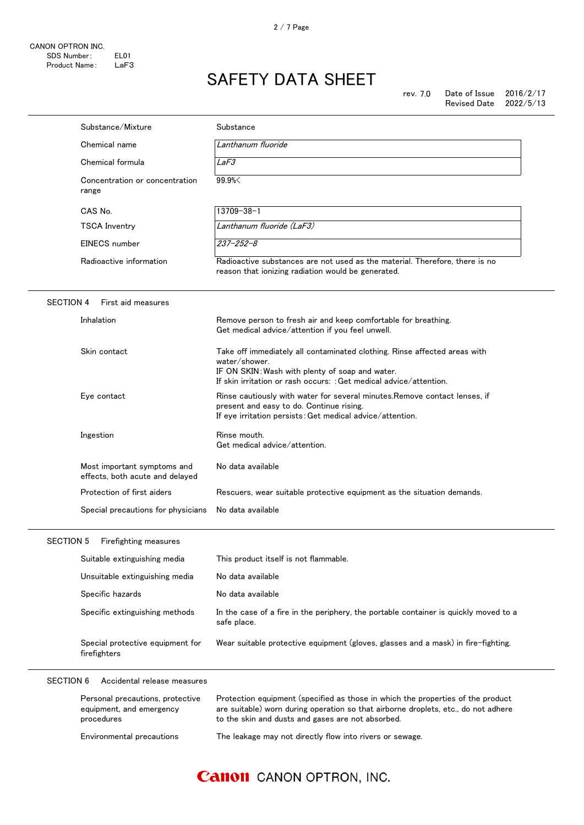|                  | Substance/Mixture                                                          | Substance                                                                                                                                                                                                                  |
|------------------|----------------------------------------------------------------------------|----------------------------------------------------------------------------------------------------------------------------------------------------------------------------------------------------------------------------|
|                  | Chemical name                                                              | Lanthanum fluoride                                                                                                                                                                                                         |
|                  | Chemical formula                                                           | LaF3                                                                                                                                                                                                                       |
|                  | Concentration or concentration<br>range                                    | 99.9%                                                                                                                                                                                                                      |
|                  | CAS No.                                                                    | $13709 - 38 - 1$                                                                                                                                                                                                           |
|                  | <b>TSCA Inventry</b>                                                       | Lanthanum fluoride (LaF3)                                                                                                                                                                                                  |
|                  | EINECS number                                                              | $237 - 252 - 8$                                                                                                                                                                                                            |
|                  | Radioactive information                                                    | Radioactive substances are not used as the material. Therefore, there is no<br>reason that ionizing radiation would be generated.                                                                                          |
| <b>SECTION 4</b> | First aid measures                                                         |                                                                                                                                                                                                                            |
|                  | Inhalation                                                                 | Remove person to fresh air and keep comfortable for breathing.<br>Get medical advice/attention if you feel unwell.                                                                                                         |
|                  | Skin contact                                                               | Take off immediately all contaminated clothing. Rinse affected areas with<br>water/shower.<br>IF ON SKIN: Wash with plenty of soap and water.<br>If skin irritation or rash occurs: : Get medical advice/attention.        |
|                  | Eye contact                                                                | Rinse cautiously with water for several minutes. Remove contact lenses, if<br>present and easy to do. Continue rising.<br>If eye irritation persists: Get medical advice/attention.                                        |
|                  | Ingestion                                                                  | Rinse mouth.<br>Get medical advice/attention.                                                                                                                                                                              |
|                  | Most important symptoms and<br>effects, both acute and delayed             | No data available                                                                                                                                                                                                          |
|                  | Protection of first aiders                                                 | Rescuers, wear suitable protective equipment as the situation demands.                                                                                                                                                     |
|                  | Special precautions for physicians                                         | No data available                                                                                                                                                                                                          |
| SECTION 5        | Firefighting measures                                                      |                                                                                                                                                                                                                            |
|                  | Suitable extinguishing media                                               | This product itself is not flammable.                                                                                                                                                                                      |
|                  | Unsuitable extinguishing media                                             | No data available                                                                                                                                                                                                          |
|                  | Specific hazards                                                           | No data available                                                                                                                                                                                                          |
|                  | Specific extinguishing methods                                             | In the case of a fire in the periphery, the portable container is quickly moved to a<br>safe place.                                                                                                                        |
|                  | Special protective equipment for<br>firefighters                           | Wear suitable protective equipment (gloves, glasses and a mask) in fire-fighting.                                                                                                                                          |
| <b>SECTION 6</b> | Accidental release measures                                                |                                                                                                                                                                                                                            |
|                  | Personal precautions, protective<br>equipment, and emergency<br>procedures | Protection equipment (specified as those in which the properties of the product<br>are suitable) worn during operation so that airborne droplets, etc., do not adhere<br>to the skin and dusts and gases are not absorbed. |
|                  | Environmental precautions                                                  | The leakage may not directly flow into rivers or sewage.                                                                                                                                                                   |

### **Canon** CANON OPTRON, INC.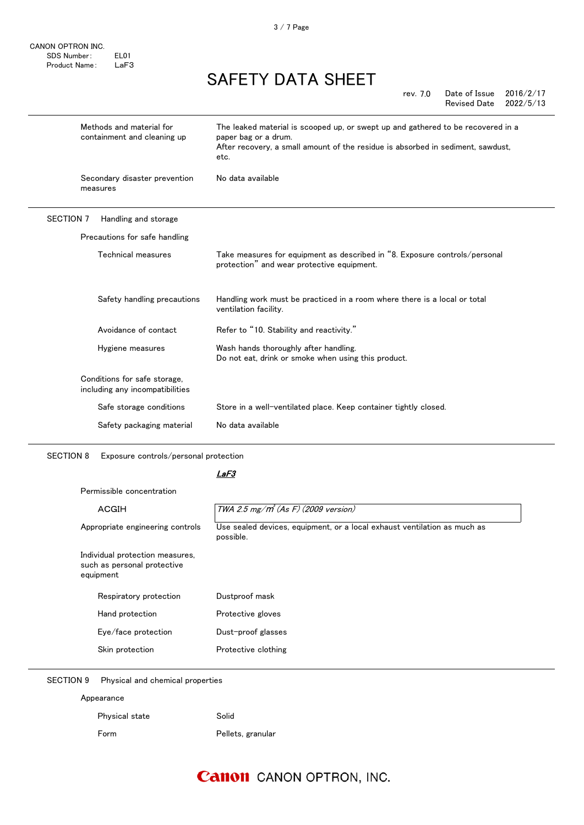CANON OPTRON INC. SDS Number: EL01 Product Name: LaF3

### SAFETY DATA SHEET

| rev. 7.0 | Date of Issue       | 2016/2/17 |
|----------|---------------------|-----------|
|          | <b>Revised Date</b> | 2022/5/13 |

|                  | Methods and material for<br>containment and cleaning up         | The leaked material is scooped up, or swept up and gathered to be recovered in a<br>paper bag or a drum.<br>After recovery, a small amount of the residue is absorbed in sediment, sawdust,<br>etc. |
|------------------|-----------------------------------------------------------------|-----------------------------------------------------------------------------------------------------------------------------------------------------------------------------------------------------|
|                  | Secondary disaster prevention<br>measures                       | No data available                                                                                                                                                                                   |
| <b>SECTION 7</b> | Handling and storage                                            |                                                                                                                                                                                                     |
|                  | Precautions for safe handling                                   |                                                                                                                                                                                                     |
|                  | Technical measures                                              | Take measures for equipment as described in "8. Exposure controls/personal<br>protection" and wear protective equipment.                                                                            |
|                  | Safety handling precautions                                     | Handling work must be practiced in a room where there is a local or total<br>ventilation facility.                                                                                                  |
|                  | Avoidance of contact                                            | Refer to "10. Stability and reactivity."                                                                                                                                                            |
|                  | Hygiene measures                                                | Wash hands thoroughly after handling.<br>Do not eat, drink or smoke when using this product.                                                                                                        |
|                  | Conditions for safe storage,<br>including any incompatibilities |                                                                                                                                                                                                     |
|                  | Safe storage conditions                                         | Store in a well-ventilated place. Keep container tightly closed.                                                                                                                                    |
|                  | Safety packaging material                                       | No data available                                                                                                                                                                                   |
|                  |                                                                 |                                                                                                                                                                                                     |

SECTION 8 Exposure controls/personal protection

#### LaF3

Permissible concentration

| ACGIH                                                                       | TWA 2.5 mg/m <sup>3</sup> (As F) (2009 version)                                       |
|-----------------------------------------------------------------------------|---------------------------------------------------------------------------------------|
| Appropriate engineering controls                                            | Use sealed devices, equipment, or a local exhaust ventilation as much as<br>possible. |
| Individual protection measures,<br>such as personal protective<br>equipment |                                                                                       |
| Respiratory protection                                                      | Dustproof mask                                                                        |
| Hand protection                                                             | Protective gloves                                                                     |
| Eye/face protection                                                         | Dust-proof glasses                                                                    |
| Skin protection                                                             | Protective clothing                                                                   |

SECTION 9 Physical and chemical properties

| Appearance     |                   |
|----------------|-------------------|
| Physical state | Solid             |
| Form           | Pellets, granular |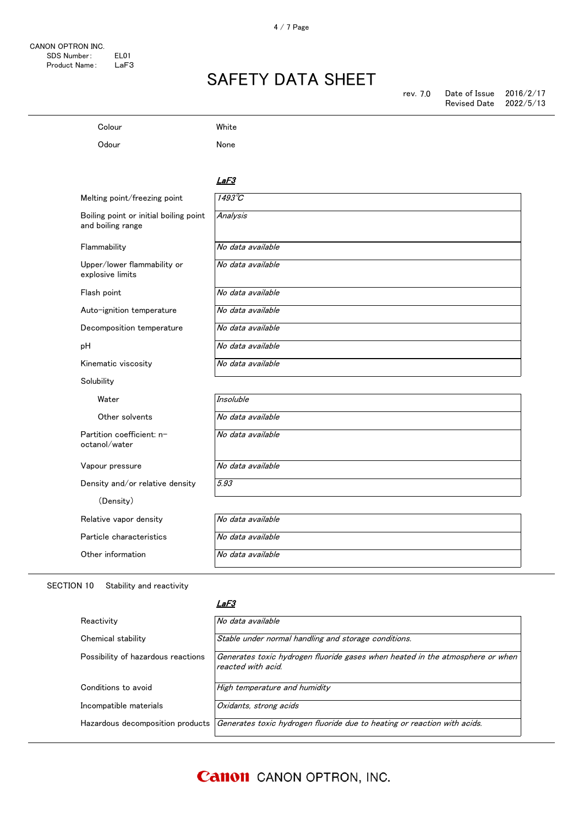### Colour White

Odour None

#### <u>LaF3</u>

| Melting point/freezing point                                | $1493\textdegree C$ |
|-------------------------------------------------------------|---------------------|
| Boiling point or initial boiling point<br>and boiling range | Analysis            |
| Flammability                                                | No data available   |
| Upper/lower flammability or<br>explosive limits             | No data available   |
| Flash point                                                 | No data available   |
| Auto-ignition temperature                                   | No data available   |
| Decomposition temperature                                   | No data available   |
| pH                                                          | No data available   |
| Kinematic viscosity                                         | No data available   |
| Solubility                                                  |                     |
| Water                                                       | <b>Insoluble</b>    |
| Other solvents                                              | No data available   |
| Partition coefficient: n-<br>octanol/water                  | No data available   |
| Vapour pressure                                             | No data available   |
| Density and/or relative density                             | 5.93                |
| (Density)                                                   |                     |
| Relative vapor density                                      | No data available   |
| Particle characteristics                                    | No data available   |
| Other information                                           | No data available   |

#### SECTION 10 Stability and reactivity

#### LaF3

| Reactivity                         | No data available                                                                                   |
|------------------------------------|-----------------------------------------------------------------------------------------------------|
| Chemical stability                 | Stable under normal handling and storage conditions.                                                |
| Possibility of hazardous reactions | Generates toxic hydrogen fluoride gases when heated in the atmosphere or when<br>reacted with acid. |
| Conditions to avoid                | High temperature and humidity                                                                       |
| Incompatible materials             | Oxidants, strong acids                                                                              |
| Hazardous decomposition products   | Generates toxic hydrogen fluoride due to heating or reaction with acids.                            |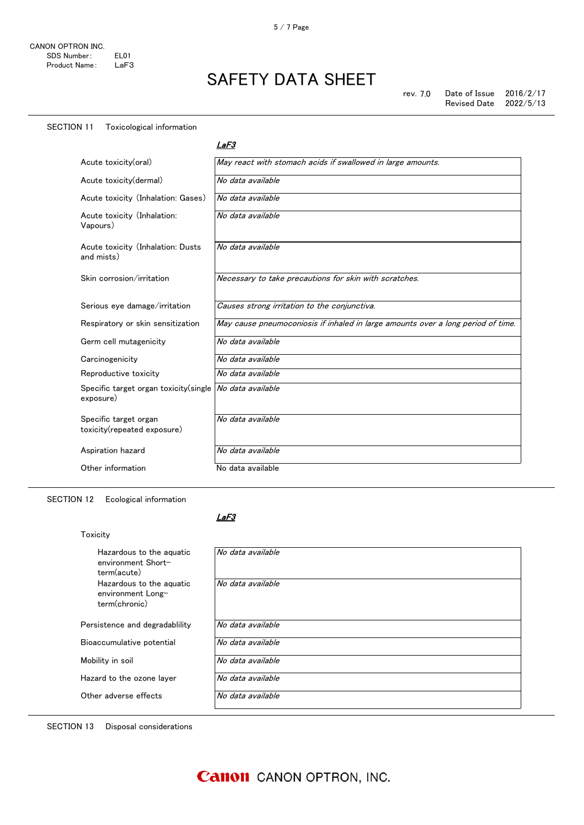#### SECTION 11 Toxicological information

LaF3

| Acute toxicity(oral)                                 | May react with stomach acids if swallowed in large amounts.                      |
|------------------------------------------------------|----------------------------------------------------------------------------------|
| Acute toxicity (dermal)                              | No data available                                                                |
| Acute toxicity (Inhalation: Gases)                   | No data available                                                                |
| Acute toxicity (Inhalation:<br>Vapours)              | No data available                                                                |
| Acute toxicity (Inhalation: Dusts<br>and mists)      | No data available                                                                |
| Skin corrosion/irritation                            | Necessary to take precautions for skin with scratches.                           |
| Serious eye damage/irritation                        | Causes strong irritation to the conjunctiva.                                     |
| Respiratory or skin sensitization                    | May cause pneumoconiosis if inhaled in large amounts over a long period of time. |
| Germ cell mutagenicity                               | No data available                                                                |
| Carcinogenicity                                      | No data available                                                                |
| Reproductive toxicity                                | No data available                                                                |
| Specific target organ toxicity (single<br>exposure)  | No data available                                                                |
| Specific target organ<br>toxicity(repeated exposure) | No data available                                                                |
| Aspiration hazard                                    | No data available                                                                |
| Other information                                    | No data available                                                                |

SECTION 12 Ecological information

#### LaF3

| Toxicity                                                       |                   |
|----------------------------------------------------------------|-------------------|
| Hazardous to the aguatic<br>environment Short-<br>term(acute)  | No data available |
| Hazardous to the aguatic<br>environment Long-<br>term(chronic) | No data available |
| Persistence and degradability                                  | No data available |
| Bioaccumulative potential                                      | No data available |
| Mobility in soil                                               | No data available |
| Hazard to the ozone layer                                      | No data available |
| Other adverse effects                                          | No data available |

#### SECTION 13 Disposal considerations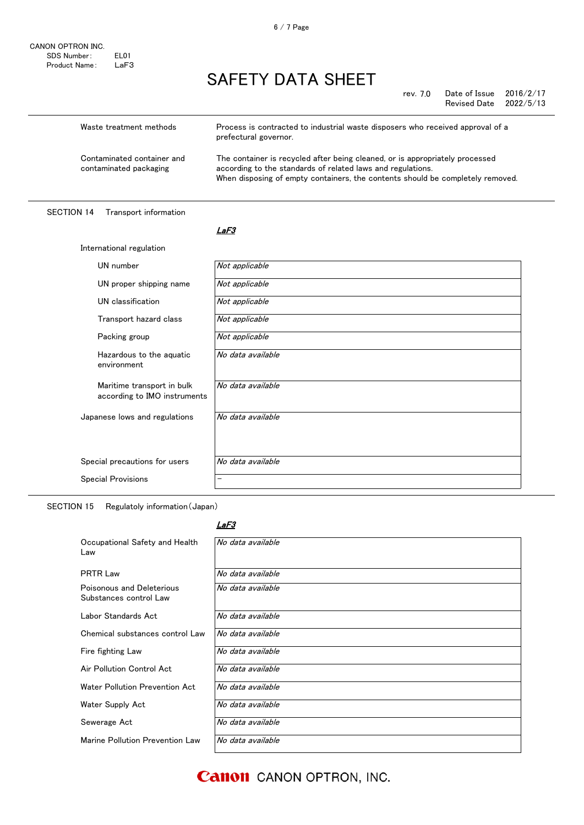rev. 7.0 Date of Issue 2016/2/17<br>Revised Date 2022/5/13 Revised Date

| Waste treatment methods                              | Process is contracted to industrial waste disposers who received approval of a<br>prefectural governor.                                                                                                                       |
|------------------------------------------------------|-------------------------------------------------------------------------------------------------------------------------------------------------------------------------------------------------------------------------------|
| Contaminated container and<br>contaminated packaging | The container is recycled after being cleaned, or is appropriately processed<br>according to the standards of related laws and regulations.<br>When disposing of empty containers, the contents should be completely removed. |

#### SECTION 14 Transport information

International regulation

#### <u>LaF3</u>

| UN number                                                  | Not applicable    |
|------------------------------------------------------------|-------------------|
| UN proper shipping name                                    | Not applicable    |
| UN classification                                          | Not applicable    |
| Transport hazard class                                     | Not applicable    |
| Packing group                                              | Not applicable    |
| Hazardous to the aquatic<br>environment                    | No data available |
| Maritime transport in bulk<br>according to IMO instruments | No data available |
| Japanese lows and regulations                              | No data available |
| Special precautions for users                              | No data available |
|                                                            |                   |
| <b>Special Provisions</b>                                  | -                 |

SECTION 15 Regulatoly information(Japan)

#### LaF3

| Occupational Safety and Health<br>Law               | No data available |
|-----------------------------------------------------|-------------------|
| <b>PRTR Law</b>                                     | No data available |
| Poisonous and Deleterious<br>Substances control Law | No data available |
| Labor Standards Act                                 | No data available |
| Chemical substances control Law                     | No data available |
| Fire fighting Law                                   | No data available |
| Air Pollution Control Act                           | No data available |
| Water Pollution Prevention Act                      | No data available |
| Water Supply Act                                    | No data available |
| Sewerage Act                                        | No data available |
| Marine Pollution Prevention Law                     | No data available |

**Canon** CANON OPTRON, INC.